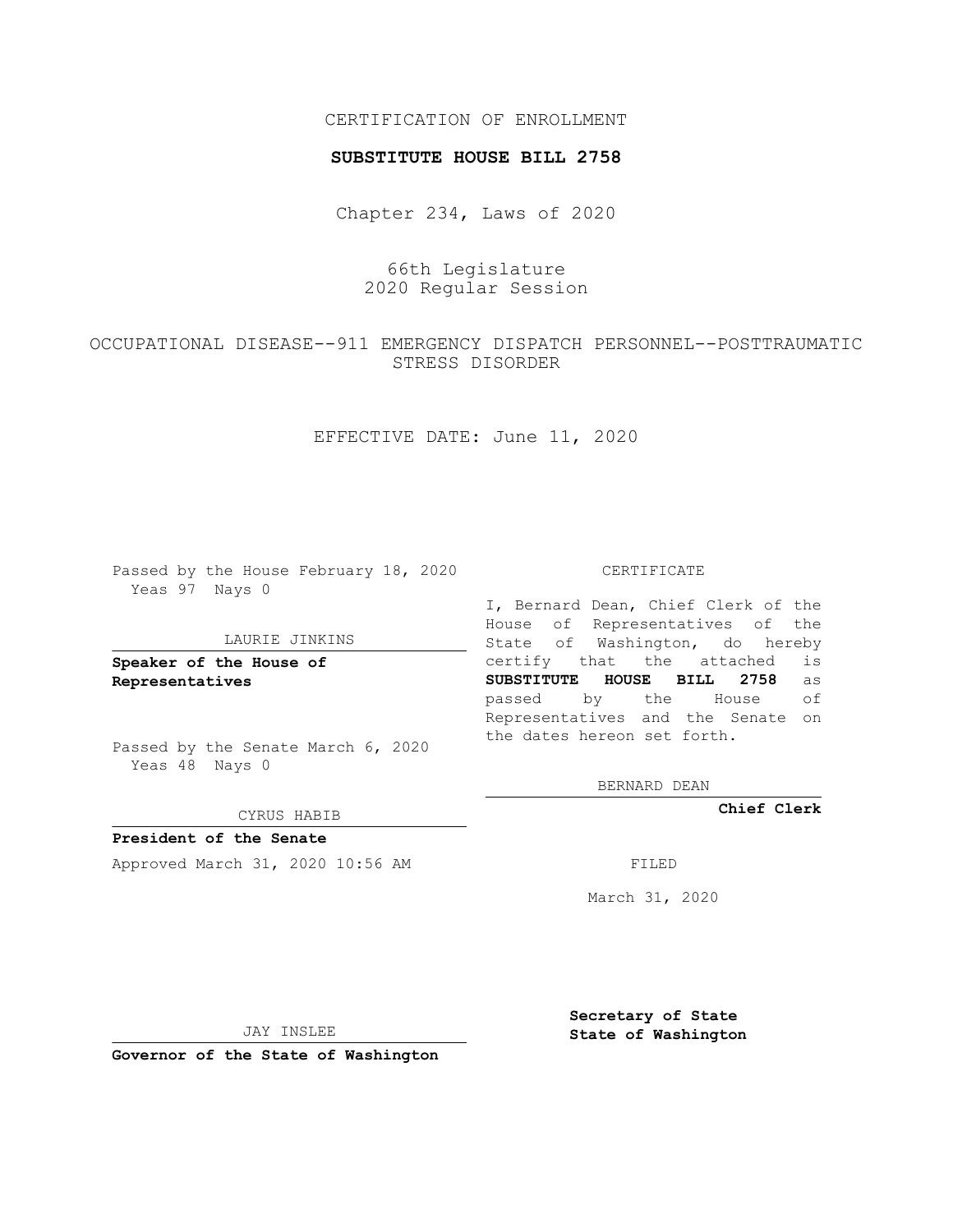## CERTIFICATION OF ENROLLMENT

## **SUBSTITUTE HOUSE BILL 2758**

Chapter 234, Laws of 2020

66th Legislature 2020 Regular Session

OCCUPATIONAL DISEASE--911 EMERGENCY DISPATCH PERSONNEL--POSTTRAUMATIC STRESS DISORDER

EFFECTIVE DATE: June 11, 2020

Passed by the House February 18, 2020 Yeas 97 Nays 0

## LAURIE JINKINS

**Speaker of the House of Representatives**

Passed by the Senate March 6, 2020 Yeas 48 Nays 0

CYRUS HABIB

**President of the Senate** Approved March 31, 2020 10:56 AM FILED

CERTIFICATE

I, Bernard Dean, Chief Clerk of the House of Representatives of the State of Washington, do hereby certify that the attached is **SUBSTITUTE HOUSE BILL 2758** as passed by the House of Representatives and the Senate on the dates hereon set forth.

BERNARD DEAN

**Chief Clerk**

March 31, 2020

JAY INSLEE

**Governor of the State of Washington**

**Secretary of State State of Washington**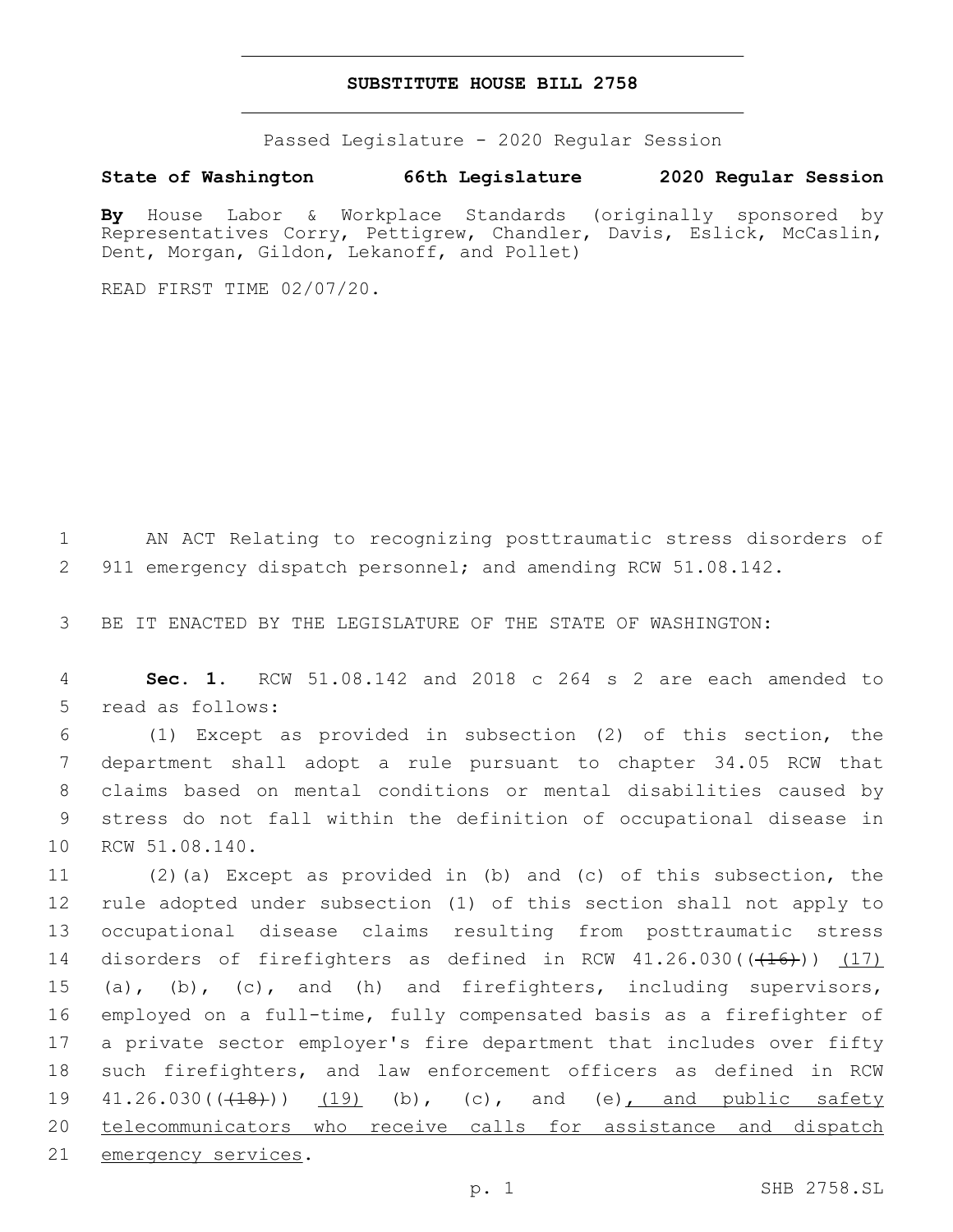## **SUBSTITUTE HOUSE BILL 2758**

Passed Legislature - 2020 Regular Session

**State of Washington 66th Legislature 2020 Regular Session**

**By** House Labor & Workplace Standards (originally sponsored by Representatives Corry, Pettigrew, Chandler, Davis, Eslick, McCaslin, Dent, Morgan, Gildon, Lekanoff, and Pollet)

READ FIRST TIME 02/07/20.

1 AN ACT Relating to recognizing posttraumatic stress disorders of 2 911 emergency dispatch personnel; and amending RCW 51.08.142.

3 BE IT ENACTED BY THE LEGISLATURE OF THE STATE OF WASHINGTON:

4 **Sec. 1.** RCW 51.08.142 and 2018 c 264 s 2 are each amended to 5 read as follows:

 (1) Except as provided in subsection (2) of this section, the department shall adopt a rule pursuant to chapter 34.05 RCW that claims based on mental conditions or mental disabilities caused by stress do not fall within the definition of occupational disease in 10 RCW 51.08.140.

 (2)(a) Except as provided in (b) and (c) of this subsection, the rule adopted under subsection (1) of this section shall not apply to occupational disease claims resulting from posttraumatic stress 14 disorders of firefighters as defined in RCW  $41.26.030$  ( $(416)$ ))  $(17)$  (a), (b), (c), and (h) and firefighters, including supervisors, employed on a full-time, fully compensated basis as a firefighter of a private sector employer's fire department that includes over fifty such firefighters, and law enforcement officers as defined in RCW  $41.26.030((\frac{18}{18}))$  (19) (b), (c), and (e), and public safety telecommunicators who receive calls for assistance and dispatch 21 emergency services.